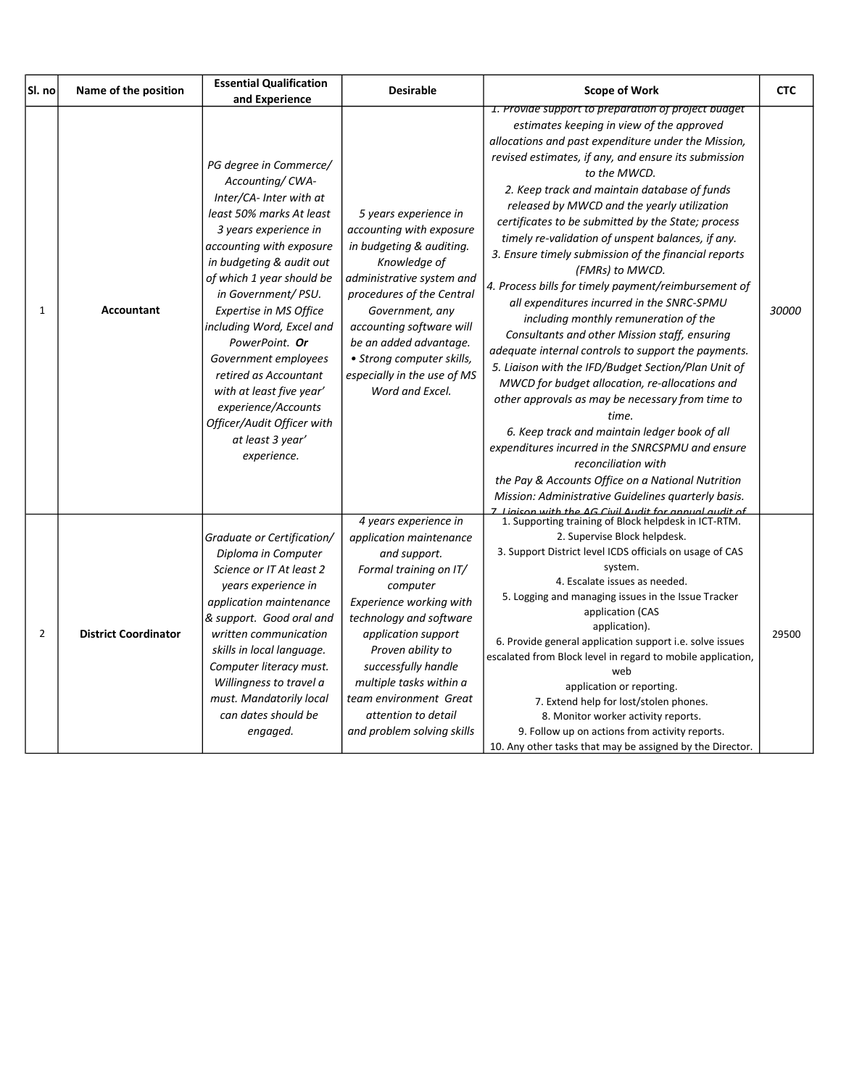| Sl. no         | Name of the position        | <b>Essential Qualification</b><br>and Experience                                                                                                                                                                                                                                                                                                                                                                                                                                   | <b>Desirable</b>                                                                                                                                                                                                                                                                                                                          | <b>Scope of Work</b>                                                                                                                                                                                                                                                                                                                                                                                                                                                                                                                                                                                                                                                                                                                                                                                                                                                                                                                                                                                                                                                                                                                                                                                                                             | <b>CTC</b> |
|----------------|-----------------------------|------------------------------------------------------------------------------------------------------------------------------------------------------------------------------------------------------------------------------------------------------------------------------------------------------------------------------------------------------------------------------------------------------------------------------------------------------------------------------------|-------------------------------------------------------------------------------------------------------------------------------------------------------------------------------------------------------------------------------------------------------------------------------------------------------------------------------------------|--------------------------------------------------------------------------------------------------------------------------------------------------------------------------------------------------------------------------------------------------------------------------------------------------------------------------------------------------------------------------------------------------------------------------------------------------------------------------------------------------------------------------------------------------------------------------------------------------------------------------------------------------------------------------------------------------------------------------------------------------------------------------------------------------------------------------------------------------------------------------------------------------------------------------------------------------------------------------------------------------------------------------------------------------------------------------------------------------------------------------------------------------------------------------------------------------------------------------------------------------|------------|
| 1              | <b>Accountant</b>           | PG degree in Commerce/<br>Accounting/CWA-<br>Inter/CA- Inter with at<br>least 50% marks At least<br>3 years experience in<br>accounting with exposure<br>in budgeting & audit out<br>of which 1 year should be<br>in Government/PSU.<br>Expertise in MS Office<br>including Word, Excel and<br>PowerPoint. Or<br>Government employees<br>retired as Accountant<br>with at least five year'<br>experience/Accounts<br>Officer/Audit Officer with<br>at least 3 year'<br>experience. | 5 years experience in<br>accounting with exposure<br>in budgeting & auditing.<br>Knowledge of<br>administrative system and<br>procedures of the Central<br>Government, any<br>accounting software will<br>be an added advantage.<br>• Strong computer skills,<br>especially in the use of MS<br>Word and Excel.                           | 1. Provide support to preparation of project budget<br>estimates keeping in view of the approved<br>allocations and past expenditure under the Mission,<br>revised estimates, if any, and ensure its submission<br>to the MWCD.<br>2. Keep track and maintain database of funds<br>released by MWCD and the yearly utilization<br>certificates to be submitted by the State; process<br>timely re-validation of unspent balances, if any.<br>3. Ensure timely submission of the financial reports<br>(FMRs) to MWCD.<br>4. Process bills for timely payment/reimbursement of<br>all expenditures incurred in the SNRC-SPMU<br>including monthly remuneration of the<br>Consultants and other Mission staff, ensuring<br>adequate internal controls to support the payments.<br>5. Liaison with the IFD/Budget Section/Plan Unit of<br>MWCD for budget allocation, re-allocations and<br>other approvals as may be necessary from time to<br>time.<br>6. Keep track and maintain ledger book of all<br>expenditures incurred in the SNRCSPMU and ensure<br>reconciliation with<br>the Pay & Accounts Office on a National Nutrition<br>Mission: Administrative Guidelines quarterly basis.<br>Ligicon with the AG Civil Audit for annual qudit of | 30000      |
| $\overline{2}$ | <b>District Coordinator</b> | Graduate or Certification/<br>Diploma in Computer<br>Science or IT At least 2<br>years experience in<br>application maintenance<br>& support. Good oral and<br>written communication<br>skills in local language.<br>Computer literacy must.<br>Willingness to travel a<br>must. Mandatorily local<br>can dates should be<br>engaged.                                                                                                                                              | 4 years experience in<br>application maintenance<br>and support.<br>Formal training on IT/<br>computer<br>Experience working with<br>technology and software<br>application support<br>Proven ability to<br>successfully handle<br>multiple tasks within a<br>team environment Great<br>attention to detail<br>and problem solving skills | 1. Supporting training of Block helpdesk in ICT-RTM.<br>2. Supervise Block helpdesk.<br>3. Support District level ICDS officials on usage of CAS<br>system.<br>4. Escalate issues as needed.<br>5. Logging and managing issues in the Issue Tracker<br>application (CAS<br>application).<br>6. Provide general application support i.e. solve issues<br>escalated from Block level in regard to mobile application,<br>web<br>application or reporting.<br>7. Extend help for lost/stolen phones.<br>8. Monitor worker activity reports.<br>9. Follow up on actions from activity reports.<br>10. Any other tasks that may be assigned by the Director.                                                                                                                                                                                                                                                                                                                                                                                                                                                                                                                                                                                          | 29500      |